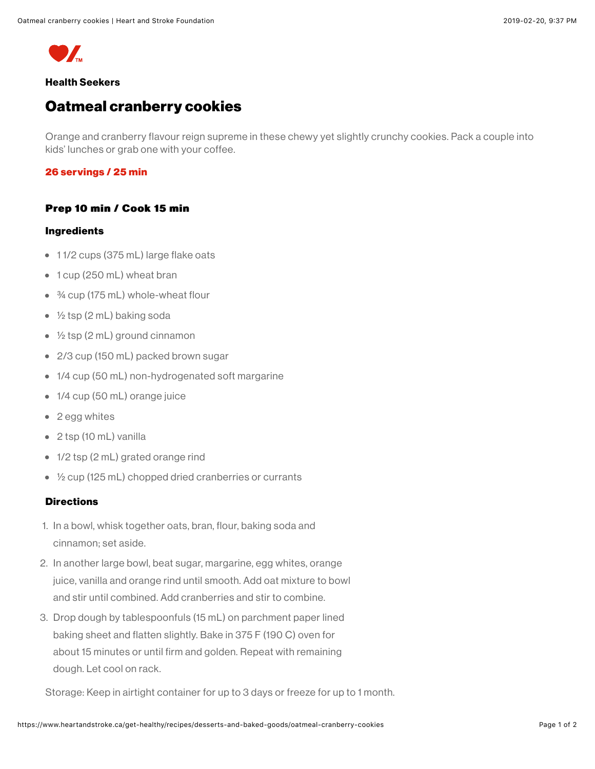

## **Health Seekers**

# **Oatmeal cranberry cookies**

Orange and cranberry flavour reign supreme in these chewy yet slightly crunchy cookies. Pack a couple into kids' lunches or grab one with your coffee.

## 26 servings / 25 min

## Prep 10 min / Cook 15 min

### Ingredients

- 11/2 cups (375 mL) large flake oats
- 1 cup (250 mL) wheat bran
- 3/4 cup (175 mL) whole-wheat flour
- 1⁄2 tsp (2 mL) baking soda
- $\frac{1}{2}$  tsp (2 mL) ground cinnamon
- 2/3 cup (150 mL) packed brown sugar
- 1/4 cup (50 mL) non-hydrogenated soft margarine
- 1/4 cup (50 mL) orange juice
- $\bullet$  2 egg whites
- 2 tsp (10 mL) vanilla
- 1/2 tsp (2 mL) grated orange rind
- $\frac{1}{2}$  cup (125 mL) chopped dried cranberries or currants

## **Directions**

- 1. In a bowl, whisk together oats, bran, flour, baking soda and cinnamon; set aside.
- 2. In another large bowl, beat sugar, margarine, egg whites, orange juice, vanilla and orange rind until smooth. Add oat mixture to bowl and stir until combined. Add cranberries and stir to combine.
- 3. Drop dough by tablespoonfuls (15 mL) on parchment paper lined baking sheet and flatten slightly. Bake in 375 F (190 C) oven for about 15 minutes or until firm and golden. Repeat with remaining dough. Let cool on rack.

Storage: Keep in airtight container for up to 3 days or freeze for up to 1 month.